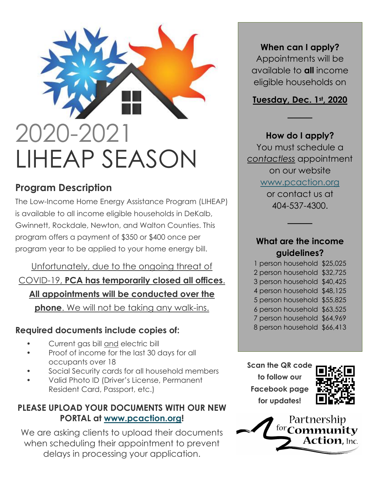# 2020-2021 LIHEAP SEASON

## **Program Description**

The Low-Income Home Energy Assistance Program (LIHEAP) is available to all income eligible households in DeKalb, Gwinnett, Rockdale, Newton, and Walton Counties. This program offers a payment of \$350 or \$400 once per program year to be applied to your home energy bill.

# Unfortunately, due to the ongoing threat of COVID-19, **PCA has temporarily closed all offices**. **All appointments will be conducted over the**

**phone**. We will not be taking any walk-ins.

#### **Required documents include copies of:**

- Current gas bill and electric bill
- Proof of income for the last 30 days for all occupants over 18
- Social Security cards for all household members
- Valid Photo ID (Driver's License, Permanent Resident Card, Passport, etc.)

#### **PLEASE UPLOAD YOUR DOCUMENTS WITH OUR NEW PORTAL at [www.pcaction.org!](http://www.pcaction.org/)**

We are asking clients to upload their documents when scheduling their appointment to prevent delays in processing your application.

#### **When can I apply?**

Appointments will be available to **all** income eligible households on

#### **Tuesday, Dec. 1st, 2020**

────

**How do I apply?** You must schedule a *contactless* appointment on our website [www.pcaction.org](http://www.pcaction.org/) or contact us at 404-537-4300.

#### **What are the income guidelines?**

────

1 person household \$25,025 2 person household \$32,725 3 person household \$40,425 4 person household \$48,125 5 person household \$55,825 6 person household \$63,525 7 person household \$64,969 8 person household \$66,413

**Scan the QR code to follow our Facebook page for updates!**